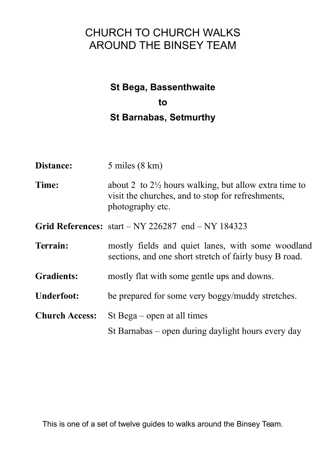# CHURCH TO CHURCH WALKS AROUND THE BINSEY TEAM

# **St Bega, Bassenthwaite to St Barnabas, Setmurthy**

| Distance:             | $5$ miles $(8 \text{ km})$                                                                                                                |
|-----------------------|-------------------------------------------------------------------------------------------------------------------------------------------|
| Time:                 | about 2 to $2\frac{1}{2}$ hours walking, but allow extra time to<br>visit the churches, and to stop for refreshments,<br>photography etc. |
|                       | Grid References: $start - NY 226287$ end $- NY 184323$                                                                                    |
| Terrain:              | mostly fields and quiet lanes, with some woodland<br>sections, and one short stretch of fairly busy B road.                               |
| <b>Gradients:</b>     | mostly flat with some gentle ups and downs.                                                                                               |
| <b>Underfoot:</b>     | be prepared for some very boggy/muddy stretches.                                                                                          |
| <b>Church Access:</b> | St Bega – open at all times                                                                                                               |
|                       | St Barnabas – open during daylight hours every day                                                                                        |

This is one of a set of twelve guides to walks around the Binsey Team.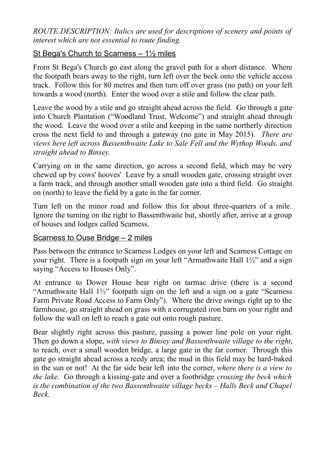*ROUTE DESCRIPTION: Italics are used for descriptions of scenery and points of interest which are not essential to route finding.*

# St Bega's Church to Scarness  $-1\frac{1}{2}$  miles

From St Bega's Church go east along the gravel path for a short distance. Where the footpath bears away to the right, turn left over the beck onto the vehicle access track. Follow this for 80 metres and then turn off over grass (no path) on your left towards a wood (north). Enter the wood over a stile and follow the clear path.

Leave the wood by a stile and go straight ahead across the field. Go through a gate into Church Plantation ("Woodland Trust, Welcome") and straight ahead through the wood. Leave the wood over a stile and keeping in the same northerly direction cross the next field to and through a gateway (no gate in May 2015). *There are views here left across Bassenthwaite Lake to Sale Fell and the Wythop Woods, and straight ahead to Binsey.* 

Carrying on in the same direction, go across a second field, which may be very chewed up by cows' hooves' Leave by a small wooden gate, crossing straight over a farm track, and through another small wooden gate into a third field. Go straight on (north) to leave the field by a gate in the far corner.

Turn left on the minor road and follow this for about three-quarters of a mile. Ignore the turning on the right to Bassenthwaite but, shortly after, arrive at a group of houses and lodges called Scarness.

# Scarness to Ouse Bridge – 2 miles

Pass between the entrance to Scarness Lodges on your left and Scarness Cottage on your right. There is a footpath sign on your left "Armathwaite Hall 1½" and a sign saying "Access to Houses Only".

At entrance to Dower House bear right on tarmac drive (there is a second "Armathwaite Hall  $1\frac{1}{2}$ " footpath sign on the left and a sign on a gate "Scarness" Farm Private Road Access to Farm Only"). Where the drive swings right up to the farmhouse, go straight ahead on grass with a corrugated iron barn on your right and follow the wall on left to reach a gate out onto rough pasture.

Bear slightly right across this pasture, passing a power line pole on your right. Then go down a slope, *with views to Binsey and Bassenthwaite village to the right*, to reach, over a small wooden bridge, a large gate in the far corner. Through this gate go straight ahead across a reedy area; the mud in this field may be hard-baked in the sun or not! At the far side bear left into the corner, *where there is a view to the lake.* Go through a kissing-gate and over a footbridge *crossing the beck which is the combination of the two Bassenthwaite village becks – Halls Beck and Chapel Beck.*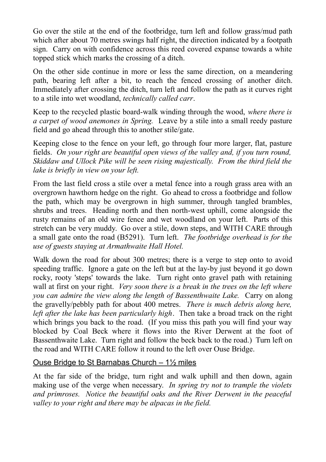Go over the stile at the end of the footbridge, turn left and follow grass/mud path which after about 70 metres swings half right, the direction indicated by a footpath sign. Carry on with confidence across this reed covered expanse towards a white topped stick which marks the crossing of a ditch.

On the other side continue in more or less the same direction, on a meandering path, bearing left after a bit, to reach the fenced crossing of another ditch. Immediately after crossing the ditch, turn left and follow the path as it curves right to a stile into wet woodland, *technically called carr*.

Keep to the recycled plastic board-walk winding through the wood, *where there is a carpet of wood anemones in Spring.* Leave by a stile into a small reedy pasture field and go ahead through this to another stile/gate.

Keeping close to the fence on your left, go through four more larger, flat, pasture fields. *On your right are beautiful open views of the valley and, if you turn round, Skiddaw and Ullock Pike will be seen rising majestically. From the third field the lake is briefly in view on your left.*

From the last field cross a stile over a metal fence into a rough grass area with an overgrown hawthorn hedge on the right. Go ahead to cross a footbridge and follow the path, which may be overgrown in high summer, through tangled brambles, shrubs and trees. Heading north and then north-west uphill, come alongside the rusty remains of an old wire fence and wet woodland on your left. Parts of this stretch can be very muddy. Go over a stile, down steps, and WITH CARE through a small gate onto the road (B5291). Turn left. *The footbridge overhead is for the use of guests staying at Armathwaite Hall Hotel.*

Walk down the road for about 300 metres; there is a verge to step onto to avoid speeding traffic. Ignore a gate on the left but at the lay-by just beyond it go down rocky, rooty 'steps' towards the lake. Turn right onto gravel path with retaining wall at first on your right. *Very soon there is a break in the trees on the left where you can admire the view along the length of Bassenthwaite Lake.* Carry on along the gravelly/pebbly path for about 400 metres. *There is much debris along here, left after the lake has been particularly high*. Then take a broad track on the right which brings you back to the road. (If you miss this path you will find your way blocked by Coal Beck where it flows into the River Derwent at the foot of Bassenthwaite Lake. Turn right and follow the beck back to the road.) Turn left on the road and WITH CARE follow it round to the left over Ouse Bridge.

#### Ouse Bridge to St Barnabas Church  $-1\frac{1}{2}$  miles

At the far side of the bridge, turn right and walk uphill and then down, again making use of the verge when necessary. *In spring try not to trample the violets and primroses. Notice the beautiful oaks and the River Derwent in the peaceful valley to your right and there may be alpacas in the field.*